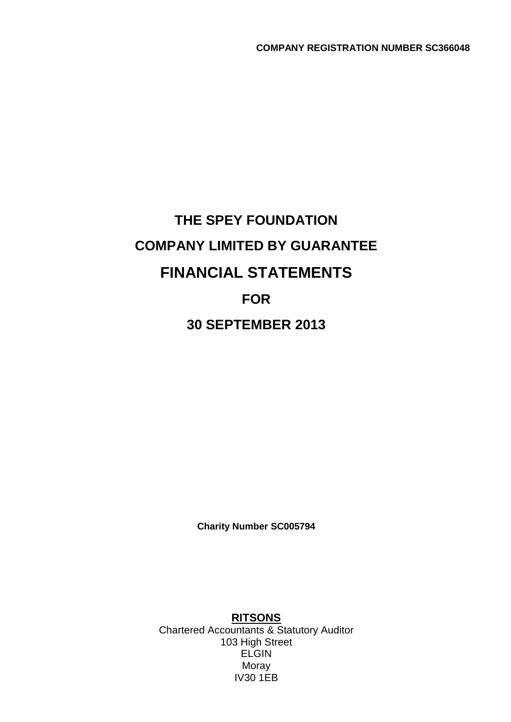# **THE SPEY FOUNDATION COMPANY LIMITED BY GUARANTEE FINANCIAL STATEMENTS FOR 30 SEPTEMBER 2013**

**Charity Number SC005794**

**RITSONS** Chartered Accountants & Statutory Auditor 103 High Street **ELGIN** Moray IV30 1EB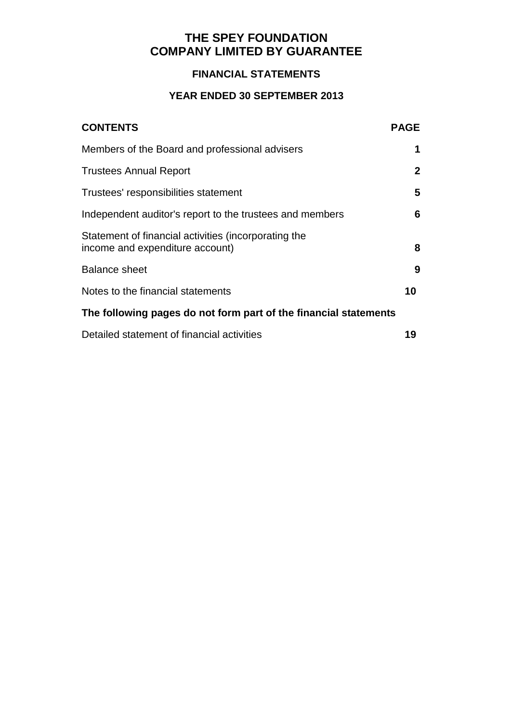# **FINANCIAL STATEMENTS**

| <b>CONTENTS</b>                                                                         | <b>PAGE</b>      |
|-----------------------------------------------------------------------------------------|------------------|
| Members of the Board and professional advisers                                          | 1                |
| <b>Trustees Annual Report</b>                                                           | $\boldsymbol{2}$ |
| Trustees' responsibilities statement                                                    | 5                |
| Independent auditor's report to the trustees and members                                | 6                |
| Statement of financial activities (incorporating the<br>income and expenditure account) | 8                |
| <b>Balance sheet</b>                                                                    | 9                |
| Notes to the financial statements                                                       | 10               |
| The following pages do not form part of the financial statements                        |                  |
| Detailed statement of financial activities                                              | 19               |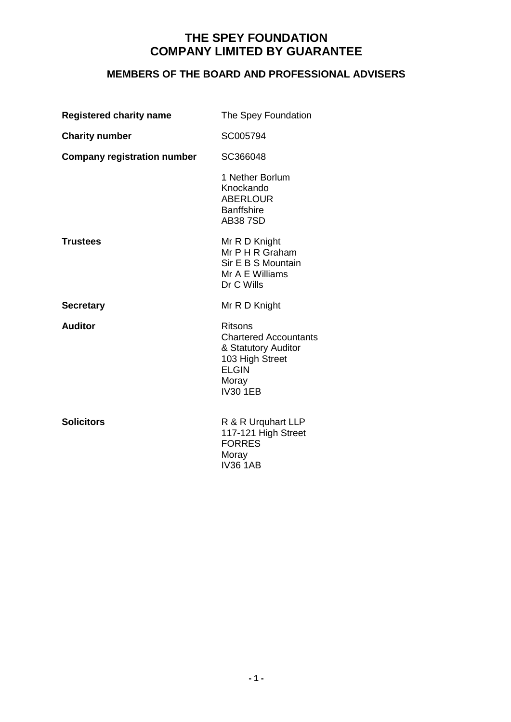# **MEMBERS OF THE BOARD AND PROFESSIONAL ADVISERS**

| <b>Registered charity name</b>     | The Spey Foundation                                                                                                           |
|------------------------------------|-------------------------------------------------------------------------------------------------------------------------------|
| <b>Charity number</b>              | SC005794                                                                                                                      |
| <b>Company registration number</b> | SC366048                                                                                                                      |
|                                    | 1 Nether Borlum<br>Knockando<br><b>ABERLOUR</b><br><b>Banffshire</b><br><b>AB387SD</b>                                        |
| <b>Trustees</b>                    | Mr R D Knight<br>Mr P H R Graham<br>Sir E B S Mountain<br>Mr A E Williams<br>Dr C Wills                                       |
| <b>Secretary</b>                   | Mr R D Knight                                                                                                                 |
| <b>Auditor</b>                     | Ritsons<br><b>Chartered Accountants</b><br>& Statutory Auditor<br>103 High Street<br><b>ELGIN</b><br>Moray<br><b>IV30 1EB</b> |
| <b>Solicitors</b>                  | R & R Urquhart LLP<br>117-121 High Street<br><b>FORRES</b><br>Moray<br><b>IV36 1AB</b>                                        |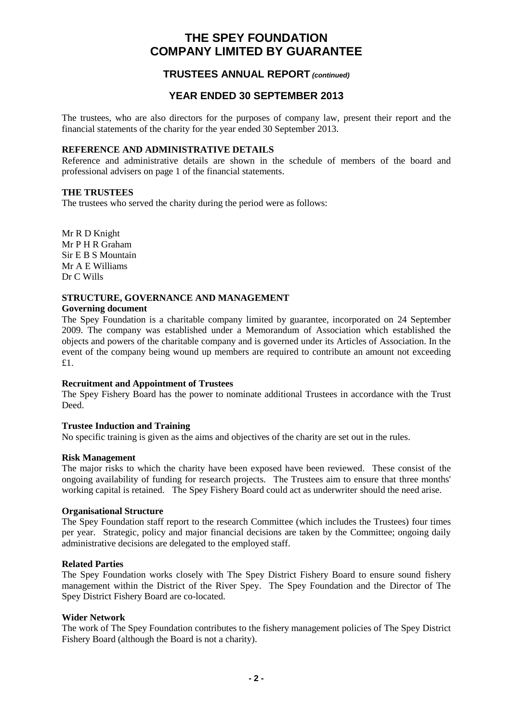### **TRUSTEES ANNUAL REPORT** *(continued)*

### **YEAR ENDED 30 SEPTEMBER 2013**

The trustees, who are also directors for the purposes of company law, present their report and the financial statements of the charity for the year ended 30 September 2013.

#### **REFERENCE AND ADMINISTRATIVE DETAILS**

Reference and administrative details are shown in the schedule of members of the board and professional advisers on page 1 of the financial statements.

#### **THE TRUSTEES**

The trustees who served the charity during the period were as follows:

Mr R D Knight Mr P H R Graham Sir E B S Mountain Mr A E Williams Dr C Wills

#### **STRUCTURE, GOVERNANCE AND MANAGEMENT**

#### **Governing document**

The Spey Foundation is a charitable company limited by guarantee, incorporated on 24 September 2009. The company was established under a Memorandum of Association which established the objects and powers of the charitable company and is governed under its Articles of Association. In the event of the company being wound up members are required to contribute an amount not exceeding £1.

#### **Recruitment and Appointment of Trustees**

The Spey Fishery Board has the power to nominate additional Trustees in accordance with the Trust Deed.

#### **Trustee Induction and Training**

No specific training is given as the aims and objectives of the charity are set out in the rules.

#### **Risk Management**

The major risks to which the charity have been exposed have been reviewed. These consist of the ongoing availability of funding for research projects. The Trustees aim to ensure that three months' working capital is retained. The Spey Fishery Board could act as underwriter should the need arise.

#### **Organisational Structure**

The Spey Foundation staff report to the research Committee (which includes the Trustees) four times per year. Strategic, policy and major financial decisions are taken by the Committee; ongoing daily administrative decisions are delegated to the employed staff.

#### **Related Parties**

The Spey Foundation works closely with The Spey District Fishery Board to ensure sound fishery management within the District of the River Spey. The Spey Foundation and the Director of The Spey District Fishery Board are co-located.

#### **Wider Network**

The work of The Spey Foundation contributes to the fishery management policies of The Spey District Fishery Board (although the Board is not a charity).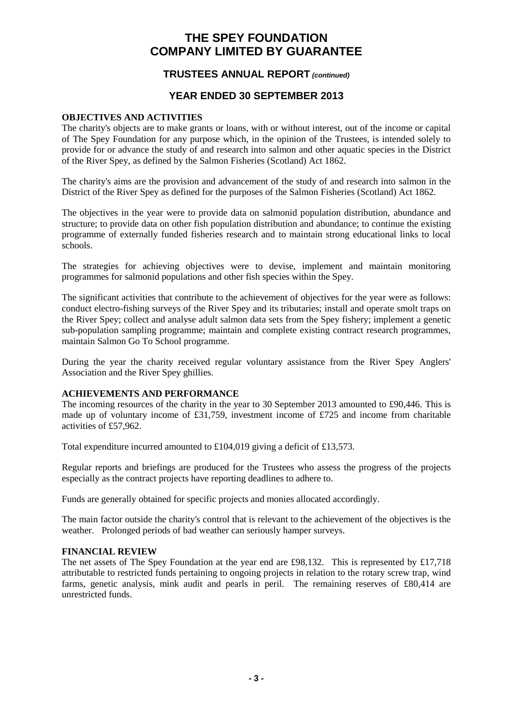### **TRUSTEES ANNUAL REPORT** *(continued)*

### **YEAR ENDED 30 SEPTEMBER 2013**

#### **OBJECTIVES AND ACTIVITIES**

The charity's objects are to make grants or loans, with or without interest, out of the income or capital of The Spey Foundation for any purpose which, in the opinion of the Trustees, is intended solely to provide for or advance the study of and research into salmon and other aquatic species in the District of the River Spey, as defined by the Salmon Fisheries (Scotland) Act 1862.

The charity's aims are the provision and advancement of the study of and research into salmon in the District of the River Spey as defined for the purposes of the Salmon Fisheries (Scotland) Act 1862.

The objectives in the year were to provide data on salmonid population distribution, abundance and structure; to provide data on other fish population distribution and abundance; to continue the existing programme of externally funded fisheries research and to maintain strong educational links to local schools.

The strategies for achieving objectives were to devise, implement and maintain monitoring programmes for salmonid populations and other fish species within the Spey.

The significant activities that contribute to the achievement of objectives for the year were as follows: conduct electro-fishing surveys of the River Spey and its tributaries; install and operate smolt traps on the River Spey; collect and analyse adult salmon data sets from the Spey fishery; implement a genetic sub-population sampling programme; maintain and complete existing contract research programmes, maintain Salmon Go To School programme.

During the year the charity received regular voluntary assistance from the River Spey Anglers' Association and the River Spey ghillies.

#### **ACHIEVEMENTS AND PERFORMANCE**

The incoming resources of the charity in the year to 30 September 2013 amounted to £90,446. This is made up of voluntary income of £31,759, investment income of £725 and income from charitable activities of £57,962.

Total expenditure incurred amounted to £104,019 giving a deficit of £13,573.

Regular reports and briefings are produced for the Trustees who assess the progress of the projects especially as the contract projects have reporting deadlines to adhere to.

Funds are generally obtained for specific projects and monies allocated accordingly.

The main factor outside the charity's control that is relevant to the achievement of the objectives is the weather. Prolonged periods of bad weather can seriously hamper surveys.

#### **FINANCIAL REVIEW**

The net assets of The Spey Foundation at the year end are £98,132. This is represented by £17,718 attributable to restricted funds pertaining to ongoing projects in relation to the rotary screw trap, wind farms, genetic analysis, mink audit and pearls in peril. The remaining reserves of £80,414 are unrestricted funds.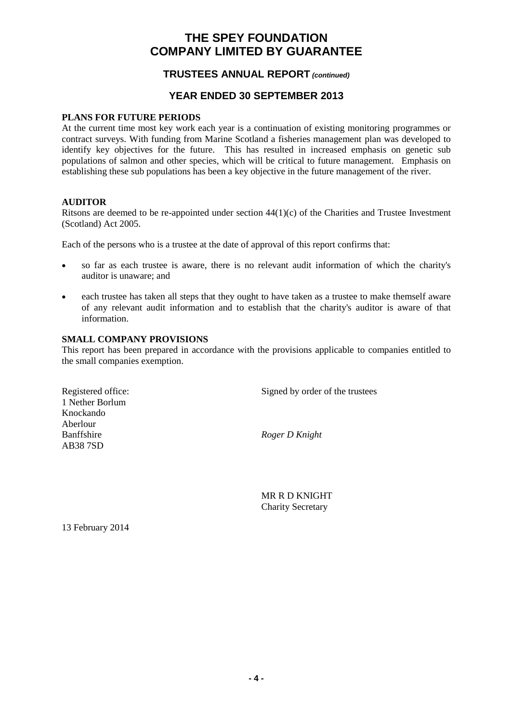### **TRUSTEES ANNUAL REPORT** *(continued)*

### **YEAR ENDED 30 SEPTEMBER 2013**

#### **PLANS FOR FUTURE PERIODS**

At the current time most key work each year is a continuation of existing monitoring programmes or contract surveys. With funding from Marine Scotland a fisheries management plan was developed to identify key objectives for the future. This has resulted in increased emphasis on genetic sub populations of salmon and other species, which will be critical to future management. Emphasis on establishing these sub populations has been a key objective in the future management of the river.

#### **AUDITOR**

Ritsons are deemed to be re-appointed under section  $44(1)(c)$  of the Charities and Trustee Investment (Scotland) Act 2005.

Each of the persons who is a trustee at the date of approval of this report confirms that:

- so far as each trustee is aware, there is no relevant audit information of which the charity's auditor is unaware; and
- each trustee has taken all steps that they ought to have taken as a trustee to make themself aware of any relevant audit information and to establish that the charity's auditor is aware of that information.

#### **SMALL COMPANY PROVISIONS**

This report has been prepared in accordance with the provisions applicable to companies entitled to the small companies exemption.

| Registered office:<br>1 Nether Borlum | Signed by order of the trustees |
|---------------------------------------|---------------------------------|
| Knockando                             |                                 |
| Aberlour                              |                                 |
| Banffshire                            | Roger D Knight                  |
| AB38 7SD                              |                                 |
|                                       |                                 |

MR R D KNIGHT Charity Secretary

13 February 2014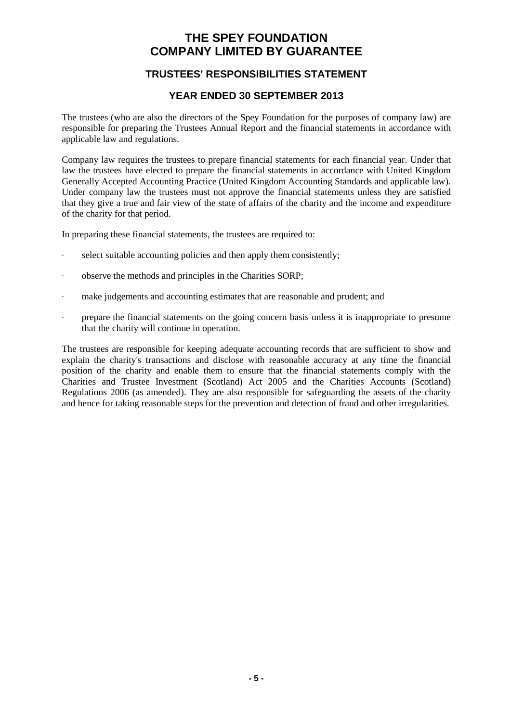### **TRUSTEES' RESPONSIBILITIES STATEMENT**

### **YEAR ENDED 30 SEPTEMBER 2013**

The trustees (who are also the directors of the Spey Foundation for the purposes of company law) are responsible for preparing the Trustees Annual Report and the financial statements in accordance with applicable law and regulations.

Company law requires the trustees to prepare financial statements for each financial year. Under that law the trustees have elected to prepare the financial statements in accordance with United Kingdom Generally Accepted Accounting Practice (United Kingdom Accounting Standards and applicable law). Under company law the trustees must not approve the financial statements unless they are satisfied that they give a true and fair view of the state of affairs of the charity and the income and expenditure of the charity for that period.

In preparing these financial statements, the trustees are required to:

- · select suitable accounting policies and then apply them consistently;
- · observe the methods and principles in the Charities SORP;
- · make judgements and accounting estimates that are reasonable and prudent; and
- · prepare the financial statements on the going concern basis unless it is inappropriate to presume that the charity will continue in operation.

The trustees are responsible for keeping adequate accounting records that are sufficient to show and explain the charity's transactions and disclose with reasonable accuracy at any time the financial position of the charity and enable them to ensure that the financial statements comply with the Charities and Trustee Investment (Scotland) Act 2005 and the Charities Accounts (Scotland) Regulations 2006 (as amended). They are also responsible for safeguarding the assets of the charity and hence for taking reasonable steps for the prevention and detection of fraud and other irregularities.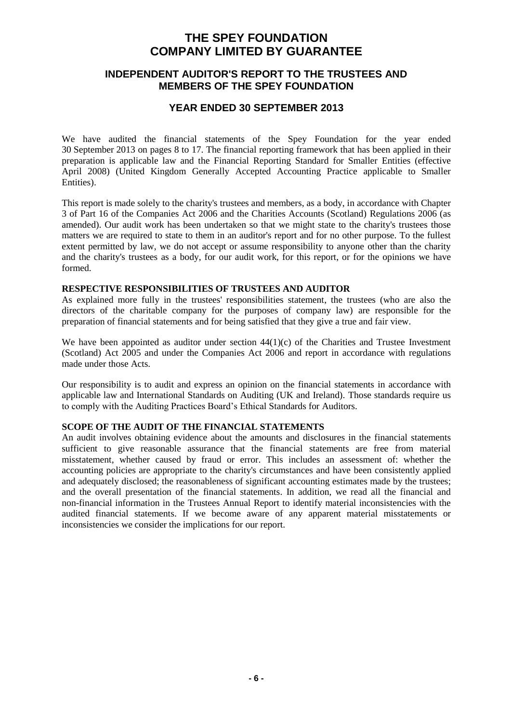### **INDEPENDENT AUDITOR'S REPORT TO THE TRUSTEES AND MEMBERS OF THE SPEY FOUNDATION**

#### **YEAR ENDED 30 SEPTEMBER 2013**

We have audited the financial statements of the Spey Foundation for the year ended 30 September 2013 on pages 8 to 17. The financial reporting framework that has been applied in their preparation is applicable law and the Financial Reporting Standard for Smaller Entities (effective April 2008) (United Kingdom Generally Accepted Accounting Practice applicable to Smaller Entities).

This report is made solely to the charity's trustees and members, as a body, in accordance with Chapter 3 of Part 16 of the Companies Act 2006 and the Charities Accounts (Scotland) Regulations 2006 (as amended). Our audit work has been undertaken so that we might state to the charity's trustees those matters we are required to state to them in an auditor's report and for no other purpose. To the fullest extent permitted by law, we do not accept or assume responsibility to anyone other than the charity and the charity's trustees as a body, for our audit work, for this report, or for the opinions we have formed.

#### **RESPECTIVE RESPONSIBILITIES OF TRUSTEES AND AUDITOR**

As explained more fully in the trustees' responsibilities statement, the trustees (who are also the directors of the charitable company for the purposes of company law) are responsible for the preparation of financial statements and for being satisfied that they give a true and fair view.

We have been appointed as auditor under section  $44(1)(c)$  of the Charities and Trustee Investment (Scotland) Act 2005 and under the Companies Act 2006 and report in accordance with regulations made under those Acts.

Our responsibility is to audit and express an opinion on the financial statements in accordance with applicable law and International Standards on Auditing (UK and Ireland). Those standards require us to comply with the Auditing Practices Board's Ethical Standards for Auditors.

#### **SCOPE OF THE AUDIT OF THE FINANCIAL STATEMENTS**

An audit involves obtaining evidence about the amounts and disclosures in the financial statements sufficient to give reasonable assurance that the financial statements are free from material misstatement, whether caused by fraud or error. This includes an assessment of: whether the accounting policies are appropriate to the charity's circumstances and have been consistently applied and adequately disclosed; the reasonableness of significant accounting estimates made by the trustees; and the overall presentation of the financial statements. In addition, we read all the financial and non-financial information in the Trustees Annual Report to identify material inconsistencies with the audited financial statements. If we become aware of any apparent material misstatements or inconsistencies we consider the implications for our report.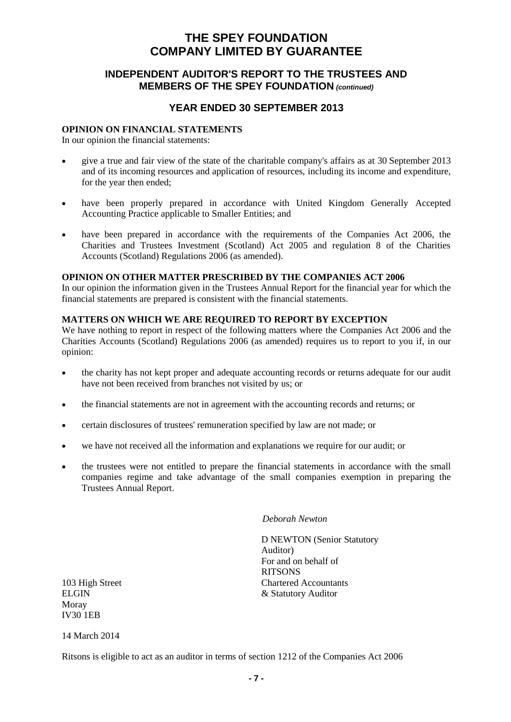### **INDEPENDENT AUDITOR'S REPORT TO THE TRUSTEES AND MEMBERS OF THE SPEY FOUNDATION** *(continued)*

### **YEAR ENDED 30 SEPTEMBER 2013**

#### **OPINION ON FINANCIAL STATEMENTS**

In our opinion the financial statements:

- give a true and fair view of the state of the charitable company's affairs as at 30 September 2013 and of its incoming resources and application of resources, including its income and expenditure, for the year then ended;
- have been properly prepared in accordance with United Kingdom Generally Accepted Accounting Practice applicable to Smaller Entities; and
- have been prepared in accordance with the requirements of the Companies Act 2006, the Charities and Trustees Investment (Scotland) Act 2005 and regulation 8 of the Charities Accounts (Scotland) Regulations 2006 (as amended).

#### **OPINION ON OTHER MATTER PRESCRIBED BY THE COMPANIES ACT 2006**

In our opinion the information given in the Trustees Annual Report for the financial year for which the financial statements are prepared is consistent with the financial statements.

#### **MATTERS ON WHICH WE ARE REQUIRED TO REPORT BY EXCEPTION**

We have nothing to report in respect of the following matters where the Companies Act 2006 and the Charities Accounts (Scotland) Regulations 2006 (as amended) requires us to report to you if, in our opinion:

- the charity has not kept proper and adequate accounting records or returns adequate for our audit have not been received from branches not visited by us; or
- the financial statements are not in agreement with the accounting records and returns; or
- certain disclosures of trustees' remuneration specified by law are not made; or
- we have not received all the information and explanations we require for our audit; or
- the trustees were not entitled to prepare the financial statements in accordance with the small companies regime and take advantage of the small companies exemption in preparing the Trustees Annual Report.

#### *Deborah Newton*

D NEWTON (Senior Statutory Auditor) For and on behalf of **RITSONS** 103 High Street Chartered Accountants ELGIN & Statutory Auditor

Moray IV30 1EB

14 March 2014

Ritsons is eligible to act as an auditor in terms of section 1212 of the Companies Act 2006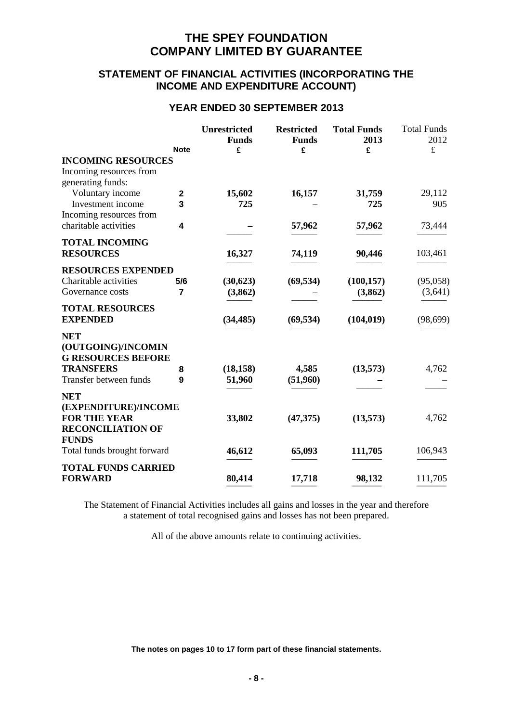### **STATEMENT OF FINANCIAL ACTIVITIES (INCORPORATING THE INCOME AND EXPENDITURE ACCOUNT)**

### **YEAR ENDED 30 SEPTEMBER 2013**

|                                                                           | <b>Note</b>    | <b>Unrestricted</b><br><b>Funds</b><br>£ | <b>Restricted</b><br><b>Funds</b><br>£ | <b>Total Funds</b><br>2013<br>£ | <b>Total Funds</b><br>2012<br>$\pounds$ |
|---------------------------------------------------------------------------|----------------|------------------------------------------|----------------------------------------|---------------------------------|-----------------------------------------|
| <b>INCOMING RESOURCES</b><br>Incoming resources from<br>generating funds: |                |                                          |                                        |                                 |                                         |
| Voluntary income                                                          | $\mathbf 2$    | 15,602                                   | 16,157                                 | 31,759                          | 29,112                                  |
| Investment income                                                         | 3              | 725                                      |                                        | 725                             | 905                                     |
| Incoming resources from                                                   |                |                                          |                                        |                                 |                                         |
| charitable activities                                                     | 4              |                                          | 57,962                                 | 57,962                          | 73,444                                  |
| <b>TOTAL INCOMING</b>                                                     |                |                                          |                                        |                                 |                                         |
| <b>RESOURCES</b>                                                          |                | 16,327                                   | 74,119                                 | 90,446                          | 103,461                                 |
| <b>RESOURCES EXPENDED</b>                                                 |                |                                          |                                        |                                 |                                         |
| Charitable activities                                                     | 5/6            | (30,623)                                 | (69, 534)                              | (100, 157)                      | (95,058)                                |
| Governance costs                                                          | $\overline{7}$ | (3,862)                                  |                                        | (3,862)                         | (3,641)                                 |
|                                                                           |                |                                          |                                        |                                 |                                         |
| <b>TOTAL RESOURCES</b><br><b>EXPENDED</b>                                 |                | (34, 485)                                | (69, 534)                              | (104, 019)                      | (98, 699)                               |
| <b>NET</b><br>(OUTGOING)/INCOMIN<br><b>G RESOURCES BEFORE</b>             |                |                                          |                                        |                                 |                                         |
| <b>TRANSFERS</b>                                                          | 8              | (18, 158)                                | 4,585                                  | (13,573)                        | 4,762                                   |
| Transfer between funds                                                    | 9              | 51,960                                   | (51,960)                               |                                 |                                         |
| <b>NET</b><br>(EXPENDITURE)/INCOME                                        |                |                                          |                                        |                                 |                                         |
| <b>FOR THE YEAR</b><br><b>RECONCILIATION OF</b><br><b>FUNDS</b>           |                | 33,802                                   | (47, 375)                              | (13,573)                        | 4,762                                   |
| Total funds brought forward                                               |                | 46,612                                   | 65,093                                 | 111,705                         | 106,943                                 |
| <b>TOTAL FUNDS CARRIED</b>                                                |                |                                          |                                        |                                 |                                         |
| <b>FORWARD</b>                                                            |                | 80,414                                   | 17,718                                 | 98,132                          | 111,705                                 |

The Statement of Financial Activities includes all gains and losses in the year and therefore a statement of total recognised gains and losses has not been prepared.

All of the above amounts relate to continuing activities.

**The notes on pages 10 to 17 form part of these financial statements.**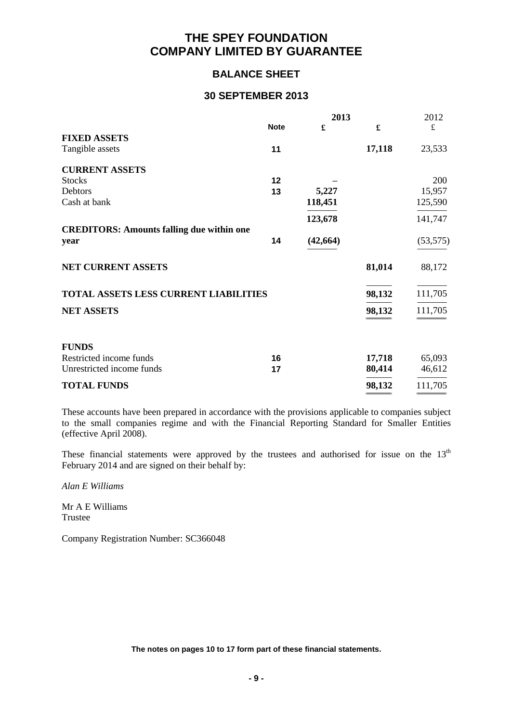### **BALANCE SHEET**

### **30 SEPTEMBER 2013**

|                                                  |             | 2013      |        | 2012      |  |
|--------------------------------------------------|-------------|-----------|--------|-----------|--|
|                                                  | <b>Note</b> | £         | £      | £         |  |
| <b>FIXED ASSETS</b>                              |             |           |        |           |  |
| Tangible assets                                  | 11          |           | 17,118 | 23,533    |  |
| <b>CURRENT ASSETS</b>                            |             |           |        |           |  |
| <b>Stocks</b>                                    | 12          |           |        | 200       |  |
| Debtors                                          | 13          | 5,227     |        | 15,957    |  |
| Cash at bank                                     |             | 118,451   |        | 125,590   |  |
|                                                  |             | 123,678   |        | 141,747   |  |
| <b>CREDITORS: Amounts falling due within one</b> |             |           |        |           |  |
| year                                             | 14          | (42, 664) |        | (53, 575) |  |
| NET CURRENT ASSETS                               |             |           | 81,014 | 88,172    |  |
| <b>TOTAL ASSETS LESS CURRENT LIABILITIES</b>     |             |           | 98,132 | 111,705   |  |
| <b>NET ASSETS</b>                                |             |           | 98,132 | 111,705   |  |
|                                                  |             |           |        |           |  |
| <b>FUNDS</b>                                     |             |           |        |           |  |
| Restricted income funds                          | 16          |           | 17,718 | 65,093    |  |
| Unrestricted income funds                        | 17          |           | 80,414 | 46,612    |  |
| <b>TOTAL FUNDS</b>                               |             |           | 98,132 | 111,705   |  |
|                                                  |             |           |        |           |  |

These accounts have been prepared in accordance with the provisions applicable to companies subject to the small companies regime and with the Financial Reporting Standard for Smaller Entities (effective April 2008).

These financial statements were approved by the trustees and authorised for issue on the  $13<sup>th</sup>$ February 2014 and are signed on their behalf by:

*Alan E Williams* 

Mr A E Williams Trustee

Company Registration Number: SC366048

**The notes on pages 10 to 17 form part of these financial statements.**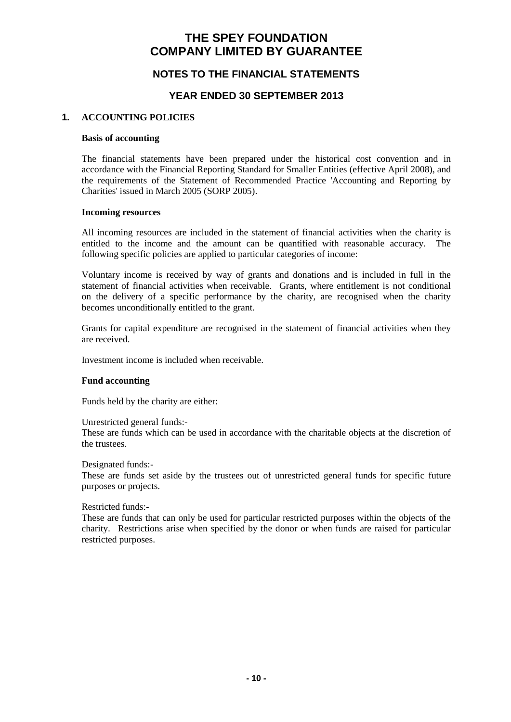### **NOTES TO THE FINANCIAL STATEMENTS**

### **YEAR ENDED 30 SEPTEMBER 2013**

#### **1. ACCOUNTING POLICIES**

#### **Basis of accounting**

The financial statements have been prepared under the historical cost convention and in accordance with the Financial Reporting Standard for Smaller Entities (effective April 2008), and the requirements of the Statement of Recommended Practice 'Accounting and Reporting by Charities' issued in March 2005 (SORP 2005).

#### **Incoming resources**

All incoming resources are included in the statement of financial activities when the charity is entitled to the income and the amount can be quantified with reasonable accuracy. The following specific policies are applied to particular categories of income:

Voluntary income is received by way of grants and donations and is included in full in the statement of financial activities when receivable. Grants, where entitlement is not conditional on the delivery of a specific performance by the charity, are recognised when the charity becomes unconditionally entitled to the grant.

Grants for capital expenditure are recognised in the statement of financial activities when they are received.

Investment income is included when receivable.

#### **Fund accounting**

Funds held by the charity are either:

Unrestricted general funds:-

These are funds which can be used in accordance with the charitable objects at the discretion of the trustees.

Designated funds:-

These are funds set aside by the trustees out of unrestricted general funds for specific future purposes or projects.

Restricted funds:-

These are funds that can only be used for particular restricted purposes within the objects of the charity. Restrictions arise when specified by the donor or when funds are raised for particular restricted purposes.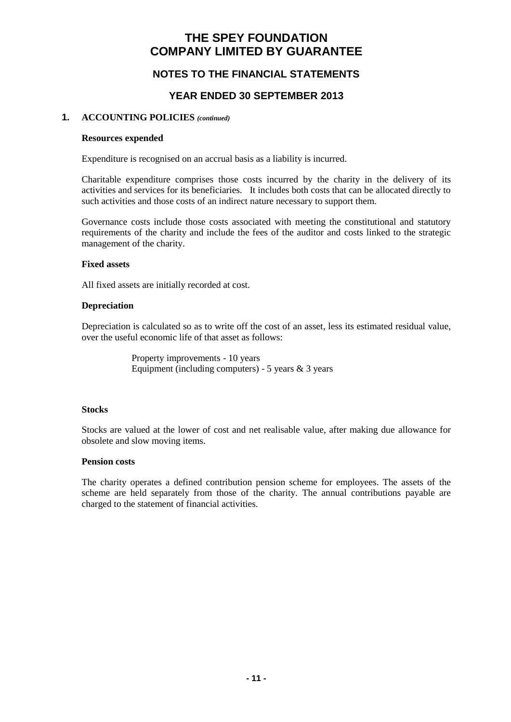### **NOTES TO THE FINANCIAL STATEMENTS**

### **YEAR ENDED 30 SEPTEMBER 2013**

#### **1. ACCOUNTING POLICIES** *(continued)*

#### **Resources expended**

Expenditure is recognised on an accrual basis as a liability is incurred.

Charitable expenditure comprises those costs incurred by the charity in the delivery of its activities and services for its beneficiaries. It includes both costs that can be allocated directly to such activities and those costs of an indirect nature necessary to support them.

Governance costs include those costs associated with meeting the constitutional and statutory requirements of the charity and include the fees of the auditor and costs linked to the strategic management of the charity.

#### **Fixed assets**

All fixed assets are initially recorded at cost.

#### **Depreciation**

Depreciation is calculated so as to write off the cost of an asset, less its estimated residual value, over the useful economic life of that asset as follows:

> Property improvements - 10 years Equipment (including computers) - 5 years  $& 3$  years

#### **Stocks**

Stocks are valued at the lower of cost and net realisable value, after making due allowance for obsolete and slow moving items.

#### **Pension costs**

The charity operates a defined contribution pension scheme for employees. The assets of the scheme are held separately from those of the charity. The annual contributions payable are charged to the statement of financial activities.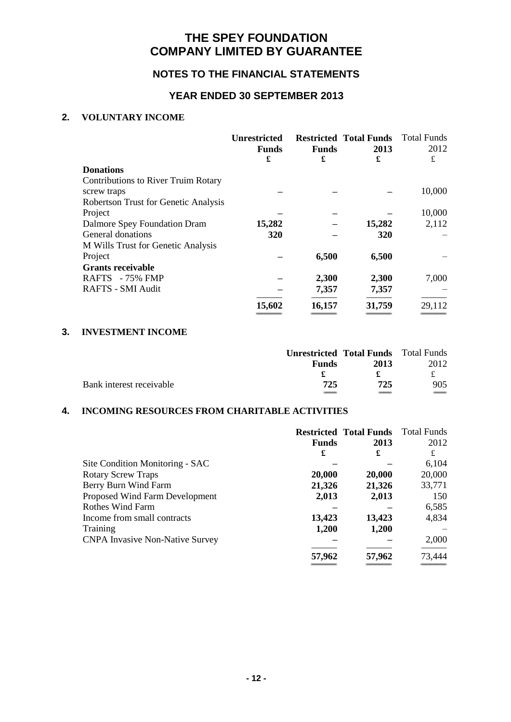# **NOTES TO THE FINANCIAL STATEMENTS**

# **YEAR ENDED 30 SEPTEMBER 2013**

#### **2. VOLUNTARY INCOME**

|                                            | <b>Unrestricted</b><br><b>Funds</b> | <b>Funds</b> | <b>Restricted Total Funds</b><br>2013 | <b>Total Funds</b><br>2012 |
|--------------------------------------------|-------------------------------------|--------------|---------------------------------------|----------------------------|
|                                            | £                                   | £            | £                                     | £                          |
| <b>Donations</b>                           |                                     |              |                                       |                            |
| <b>Contributions to River Truim Rotary</b> |                                     |              |                                       |                            |
| screw traps                                |                                     |              |                                       | 10,000                     |
| Robertson Trust for Genetic Analysis       |                                     |              |                                       |                            |
| Project                                    |                                     |              |                                       | 10,000                     |
| Dalmore Spey Foundation Dram               | 15,282                              |              | 15,282                                | 2,112                      |
| General donations                          | 320                                 |              | 320                                   |                            |
| M Wills Trust for Genetic Analysis         |                                     |              |                                       |                            |
| Project                                    |                                     | 6,500        | 6,500                                 |                            |
| <b>Grants receivable</b>                   |                                     |              |                                       |                            |
| RAFTS - 75% FMP                            |                                     | 2,300        | 2,300                                 | 7,000                      |
| <b>RAFTS - SMI Audit</b>                   |                                     | 7,357        | 7,357                                 |                            |
|                                            | 15,602                              | 16,157       | 31,759                                | 29,112                     |
|                                            |                                     |              |                                       |                            |

#### **3. INVESTMENT INCOME**

|                          |       | <b>Unrestricted Total Funds</b> Total Funds |      |
|--------------------------|-------|---------------------------------------------|------|
|                          | Funds | 2013                                        | 2012 |
|                          |       |                                             |      |
| Bank interest receivable | 725   | 725                                         | 905  |
|                          |       |                                             |      |

### **4. INCOMING RESOURCES FROM CHARITABLE ACTIVITIES**

|                                        |              | <b>Restricted Total Funds</b> | Total Funds |
|----------------------------------------|--------------|-------------------------------|-------------|
|                                        | <b>Funds</b> | 2013                          | 2012        |
|                                        | £            | £                             | £           |
| Site Condition Monitoring - SAC        |              |                               | 6,104       |
| <b>Rotary Screw Traps</b>              | 20,000       | 20,000                        | 20,000      |
| Berry Burn Wind Farm                   | 21,326       | 21,326                        | 33,771      |
| Proposed Wind Farm Development         | 2,013        | 2,013                         | 150         |
| <b>Rothes Wind Farm</b>                |              |                               | 6,585       |
| Income from small contracts            | 13,423       | 13,423                        | 4,834       |
| Training                               | 1,200        | 1,200                         |             |
| <b>CNPA Invasive Non-Native Survey</b> |              |                               | 2,000       |
|                                        | 57,962       | 57,962                        | 73,444      |
|                                        |              |                               |             |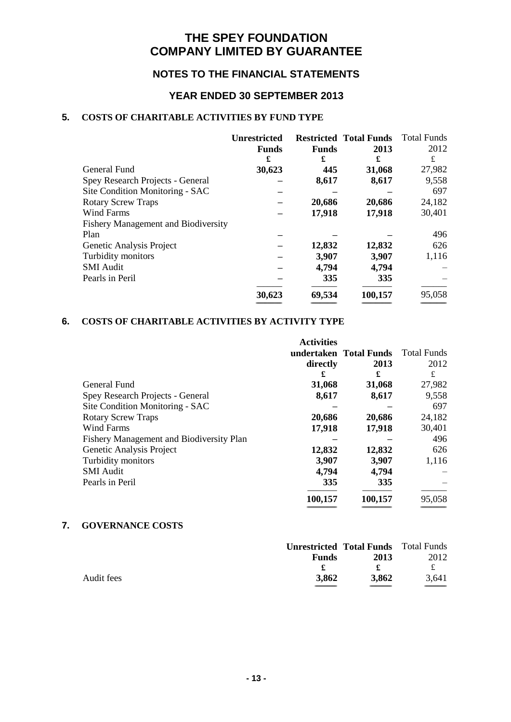### **NOTES TO THE FINANCIAL STATEMENTS**

### **YEAR ENDED 30 SEPTEMBER 2013**

### **5. COSTS OF CHARITABLE ACTIVITIES BY FUND TYPE**

|                                            | <b>Unrestricted</b> |              | <b>Restricted Total Funds</b> | <b>Total Funds</b> |
|--------------------------------------------|---------------------|--------------|-------------------------------|--------------------|
|                                            | <b>Funds</b>        | <b>Funds</b> | 2013                          | 2012               |
|                                            | £                   | £            | £                             | £                  |
| General Fund                               | 30,623              | 445          | 31,068                        | 27,982             |
| Spey Research Projects - General           |                     | 8,617        | 8,617                         | 9,558              |
| Site Condition Monitoring - SAC            |                     |              |                               | 697                |
| <b>Rotary Screw Traps</b>                  |                     | 20,686       | 20,686                        | 24,182             |
| <b>Wind Farms</b>                          |                     | 17,918       | 17,918                        | 30,401             |
| <b>Fishery Management and Biodiversity</b> |                     |              |                               |                    |
| Plan                                       |                     |              |                               | 496                |
| Genetic Analysis Project                   |                     | 12,832       | 12,832                        | 626                |
| Turbidity monitors                         |                     | 3,907        | 3,907                         | 1,116              |
| <b>SMI</b> Audit                           |                     | 4,794        | 4,794                         |                    |
| Pearls in Peril                            |                     | 335          | 335                           |                    |
|                                            | 30,623              | 69,534       | 100,157                       | 95,058             |
|                                            |                     |              |                               |                    |

### **6. COSTS OF CHARITABLE ACTIVITIES BY ACTIVITY TYPE**

|                                          | <b>Activities</b> |                        |                    |
|------------------------------------------|-------------------|------------------------|--------------------|
|                                          |                   | undertaken Total Funds | <b>Total Funds</b> |
|                                          | directly          | 2013                   | 2012               |
|                                          | £                 | £                      | £                  |
| General Fund                             | 31,068            | 31,068                 | 27,982             |
| Spey Research Projects - General         | 8,617             | 8,617                  | 9,558              |
| Site Condition Monitoring - SAC          |                   |                        | 697                |
| <b>Rotary Screw Traps</b>                | 20,686            | 20,686                 | 24,182             |
| Wind Farms                               | 17,918            | 17,918                 | 30,401             |
| Fishery Management and Biodiversity Plan |                   |                        | 496                |
| Genetic Analysis Project                 | 12,832            | 12,832                 | 626                |
| Turbidity monitors                       | 3,907             | 3,907                  | 1,116              |
| <b>SMI</b> Audit                         | 4,794             | 4,794                  |                    |
| Pearls in Peril                          | 335               | 335                    |                    |
|                                          | 100,157           | 100,157                | 95,058             |
|                                          |                   |                        |                    |

### **7. GOVERNANCE COSTS**

|            |       | <b>Unrestricted Total Funds</b> Total Funds |       |
|------------|-------|---------------------------------------------|-------|
|            | Funds | 2013                                        | 2012  |
|            |       | ¥                                           | £     |
| Audit fees | 3.862 | 3.862                                       | 3.641 |
|            |       |                                             |       |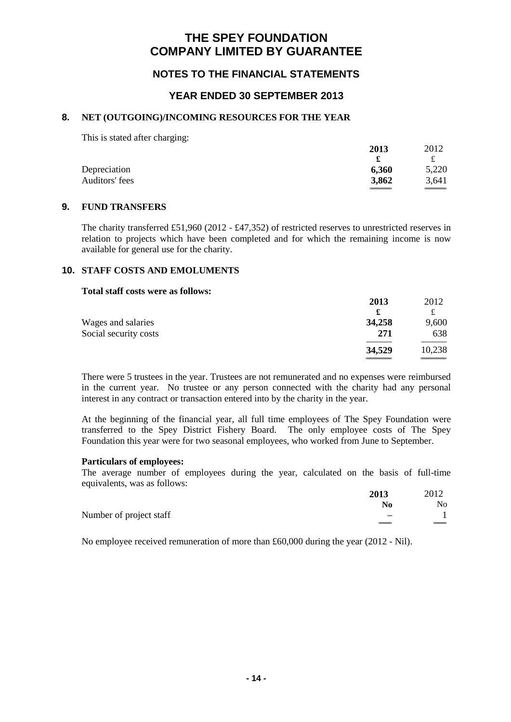### **NOTES TO THE FINANCIAL STATEMENTS**

### **YEAR ENDED 30 SEPTEMBER 2013**

#### **8. NET (OUTGOING)/INCOMING RESOURCES FOR THE YEAR**

This is stated after charging:

|                | 2013  | 2012  |
|----------------|-------|-------|
|                |       |       |
| Depreciation   | 6,360 | 5,220 |
| Auditors' fees | 3,862 | 3,641 |
|                |       |       |

#### **9. FUND TRANSFERS**

The charity transferred £51,960 (2012 - £47,352) of restricted reserves to unrestricted reserves in relation to projects which have been completed and for which the remaining income is now available for general use for the charity.

### **10. STAFF COSTS AND EMOLUMENTS**

#### **Total staff costs were as follows:**

|                       | 2013   | 2012   |
|-----------------------|--------|--------|
|                       |        | £      |
| Wages and salaries    | 34,258 | 9,600  |
| Social security costs | 271    | 638    |
|                       | 34,529 | 10,238 |
|                       |        |        |

There were 5 trustees in the year. Trustees are not remunerated and no expenses were reimbursed in the current year. No trustee or any person connected with the charity had any personal interest in any contract or transaction entered into by the charity in the year.

At the beginning of the financial year, all full time employees of The Spey Foundation were transferred to the Spey District Fishery Board. The only employee costs of The Spey Foundation this year were for two seasonal employees, who worked from June to September.

#### **Particulars of employees:**

The average number of employees during the year, calculated on the basis of full-time equivalents, was as follows:

|                         | 2013                     | 2012                     |
|-------------------------|--------------------------|--------------------------|
|                         | No                       | No                       |
| Number of project staff | $\overline{\phantom{a}}$ |                          |
|                         | ___                      | $\overline{\phantom{a}}$ |

No employee received remuneration of more than £60,000 during the year (2012 - Nil).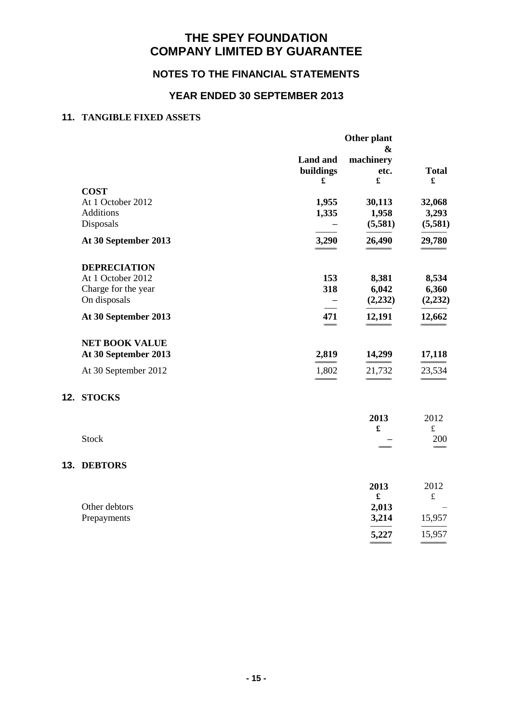# **NOTES TO THE FINANCIAL STATEMENTS**

# **YEAR ENDED 30 SEPTEMBER 2013**

### **11. TANGIBLE FIXED ASSETS**

|                              |                                                      | Other plant                            |              |
|------------------------------|------------------------------------------------------|----------------------------------------|--------------|
|                              | <b>Land and</b><br>buildings<br>$\pmb{\mathfrak{L}}$ | $\boldsymbol{\&}$<br>machinery<br>etc. | <b>Total</b> |
| <b>COST</b>                  |                                                      | £                                      | £            |
| At 1 October 2012            | 1,955                                                | 30,113                                 | 32,068       |
| <b>Additions</b>             | 1,335                                                | 1,958                                  | 3,293        |
| Disposals                    |                                                      | (5,581)                                | (5,581)      |
| At 30 September 2013         | 3,290                                                | 26,490                                 | 29,780       |
| <b>DEPRECIATION</b>          |                                                      |                                        |              |
| At 1 October 2012            | 153                                                  | 8,381                                  | 8,534        |
| Charge for the year          | 318                                                  | 6,042                                  | 6,360        |
| On disposals                 |                                                      | (2, 232)                               | (2, 232)     |
| At 30 September 2013         | 471                                                  | 12,191                                 | 12,662       |
| <b>NET BOOK VALUE</b>        |                                                      |                                        |              |
| At 30 September 2013         | 2,819                                                | 14,299                                 | 17,118       |
| At 30 September 2012         | 1,802                                                | 21,732                                 | 23,534       |
| 12. STOCKS                   |                                                      |                                        |              |
|                              |                                                      | 2013                                   | 2012         |
|                              |                                                      | $\pmb{\mathfrak{L}}$                   | $\pounds$    |
| <b>Stock</b>                 |                                                      |                                        | 200          |
| 13. DEBTORS                  |                                                      |                                        |              |
|                              |                                                      | 2013                                   | 2012         |
|                              |                                                      | $\pmb{\mathfrak{L}}$                   | $\pounds$    |
| Other debtors<br>Prepayments |                                                      | 2,013<br>3,214                         | 15,957       |
|                              |                                                      |                                        |              |
|                              |                                                      | 5,227                                  | 15,957       |

========================== ===============================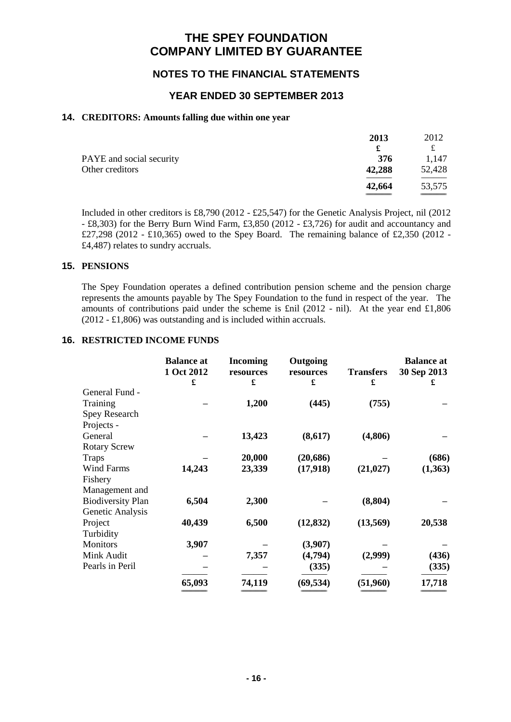### **NOTES TO THE FINANCIAL STATEMENTS**

### **YEAR ENDED 30 SEPTEMBER 2013**

### **14. CREDITORS: Amounts falling due within one year**

|                          | 2013   | 2012   |
|--------------------------|--------|--------|
|                          | £      | £      |
| PAYE and social security | 376    | 1,147  |
| Other creditors          | 42,288 | 52,428 |
|                          | 42,664 | 53,575 |
|                          |        |        |

Included in other creditors is £8,790 (2012 - £25,547) for the Genetic Analysis Project, nil (2012 - £8,303) for the Berry Burn Wind Farm, £3,850 (2012 - £3,726) for audit and accountancy and £27,298 (2012 - £10,365) owed to the Spey Board. The remaining balance of £2,350 (2012 - £4,487) relates to sundry accruals.

### **15. PENSIONS**

The Spey Foundation operates a defined contribution pension scheme and the pension charge represents the amounts payable by The Spey Foundation to the fund in respect of the year. The amounts of contributions paid under the scheme is £nil (2012 - nil). At the year end £1,806 (2012 - £1,806) was outstanding and is included within accruals.

### **16. RESTRICTED INCOME FUNDS**

|                          | <b>Balance</b> at<br>1 Oct 2012 | <b>Incoming</b><br>resources | Outgoing<br>resources | <b>Transfers</b> | <b>Balance at</b><br>30 Sep 2013 |
|--------------------------|---------------------------------|------------------------------|-----------------------|------------------|----------------------------------|
|                          | £                               | £                            | £                     | £                | £                                |
| General Fund -           |                                 |                              |                       |                  |                                  |
| Training                 |                                 | 1,200                        | (445)                 | (755)            |                                  |
| Spey Research            |                                 |                              |                       |                  |                                  |
| Projects -               |                                 |                              |                       |                  |                                  |
| General                  |                                 | 13,423                       | (8,617)               | (4,806)          |                                  |
| <b>Rotary Screw</b>      |                                 |                              |                       |                  |                                  |
| <b>Traps</b>             |                                 | 20,000                       | (20, 686)             |                  | (686)                            |
| Wind Farms               | 14,243                          | 23,339                       | (17,918)              | (21, 027)        | (1,363)                          |
| Fishery                  |                                 |                              |                       |                  |                                  |
| Management and           |                                 |                              |                       |                  |                                  |
| <b>Biodiversity Plan</b> | 6,504                           | 2,300                        |                       | (8, 804)         |                                  |
| Genetic Analysis         |                                 |                              |                       |                  |                                  |
| Project                  | 40,439                          | 6,500                        | (12, 832)             | (13,569)         | 20,538                           |
| Turbidity                |                                 |                              |                       |                  |                                  |
| <b>Monitors</b>          | 3,907                           |                              | (3,907)               |                  |                                  |
| Mink Audit               |                                 | 7,357                        | (4,794)               | (2,999)          | (436)                            |
| Pearls in Peril          |                                 |                              | (335)                 |                  | (335)                            |
|                          | 65,093                          | 74,119                       | (69, 534)             | (51,960)         | 17,718                           |
|                          |                                 |                              |                       |                  |                                  |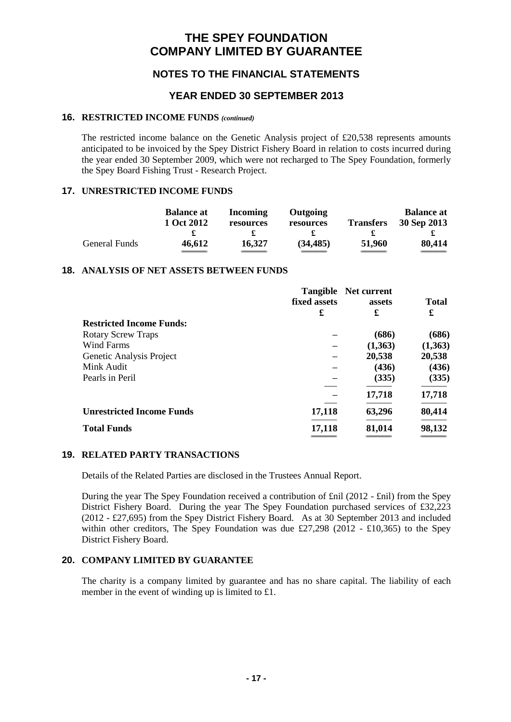### **NOTES TO THE FINANCIAL STATEMENTS**

### **YEAR ENDED 30 SEPTEMBER 2013**

#### **16. RESTRICTED INCOME FUNDS** *(continued)*

The restricted income balance on the Genetic Analysis project of £20,538 represents amounts anticipated to be invoiced by the Spey District Fishery Board in relation to costs incurred during the year ended 30 September 2009, which were not recharged to The Spey Foundation, formerly the Spey Board Fishing Trust - Research Project.

#### **17. UNRESTRICTED INCOME FUNDS**

|               | <b>Balance at</b> | Incoming  | <b>Outgoing</b> |                  | <b>Balance at</b> |
|---------------|-------------------|-----------|-----------------|------------------|-------------------|
|               | 1 Oct 2012        | resources | resources       | <b>Transfers</b> | 30 Sep 2013       |
|               |                   |           |                 |                  |                   |
| General Funds | 46.612            | 16.327    | (34, 485)       | 51,960           | 80,414            |
|               |                   |           |                 |                  |                   |

### **18. ANALYSIS OF NET ASSETS BETWEEN FUNDS**

|                                  |              | <b>Tangible</b> Net current |              |
|----------------------------------|--------------|-----------------------------|--------------|
|                                  | fixed assets | assets                      | <b>Total</b> |
|                                  | £            | £                           | £            |
| <b>Restricted Income Funds:</b>  |              |                             |              |
| <b>Rotary Screw Traps</b>        |              | (686)                       | (686)        |
| Wind Farms                       |              | (1,363)                     | (1,363)      |
| Genetic Analysis Project         |              | 20,538                      | 20,538       |
| Mink Audit                       |              | (436)                       | (436)        |
| Pearls in Peril                  |              | (335)                       | (335)        |
|                                  |              |                             | 17,718       |
|                                  |              | 17,718                      |              |
| <b>Unrestricted Income Funds</b> | 17,118       | 63,296                      | 80,414       |
| <b>Total Funds</b>               | 17,118       | 81,014                      | 98,132       |
|                                  |              |                             |              |

#### **19. RELATED PARTY TRANSACTIONS**

Details of the Related Parties are disclosed in the Trustees Annual Report.

During the year The Spey Foundation received a contribution of £nil (2012 - £nil) from the Spey District Fishery Board. During the year The Spey Foundation purchased services of £32,223 (2012 - £27,695) from the Spey District Fishery Board. As at 30 September 2013 and included within other creditors, The Spey Foundation was due £27,298 (2012 - £10,365) to the Spey District Fishery Board.

#### **20. COMPANY LIMITED BY GUARANTEE**

The charity is a company limited by guarantee and has no share capital. The liability of each member in the event of winding up is limited to £1.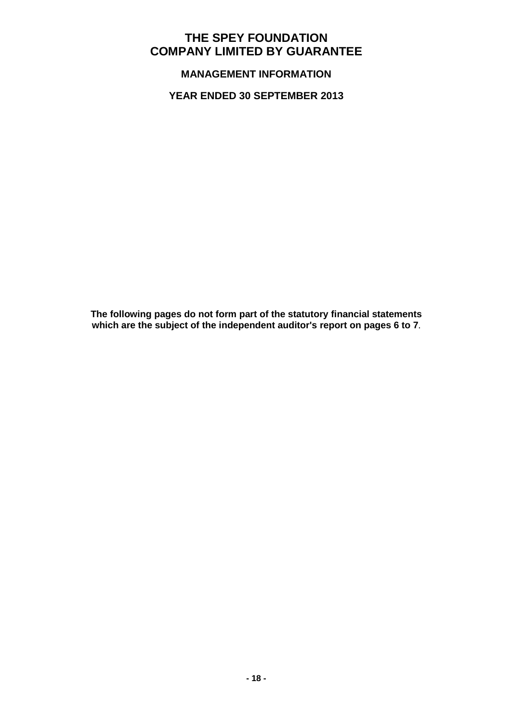**MANAGEMENT INFORMATION**

**YEAR ENDED 30 SEPTEMBER 2013**

**The following pages do not form part of the statutory financial statements which are the subject of the independent auditor's report on pages 6 to 7**.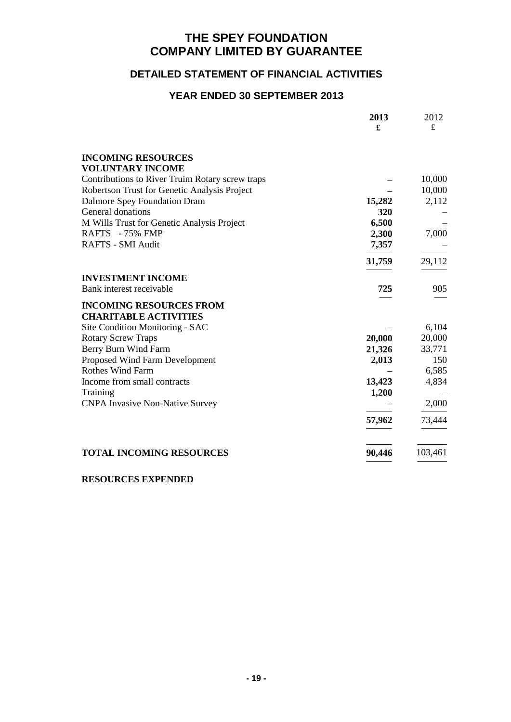# **DETAILED STATEMENT OF FINANCIAL ACTIVITIES**

# **YEAR ENDED 30 SEPTEMBER 2013**

|                                                                 | 2013<br>£ | 2012<br>£ |
|-----------------------------------------------------------------|-----------|-----------|
|                                                                 |           |           |
| <b>INCOMING RESOURCES</b><br><b>VOLUNTARY INCOME</b>            |           |           |
| Contributions to River Truim Rotary screw traps                 |           | 10,000    |
| Robertson Trust for Genetic Analysis Project                    |           | 10,000    |
| Dalmore Spey Foundation Dram                                    | 15,282    | 2,112     |
| General donations                                               | 320       |           |
| M Wills Trust for Genetic Analysis Project                      | 6,500     |           |
| RAFTS - 75% FMP                                                 | 2,300     | 7,000     |
| RAFTS - SMI Audit                                               | 7,357     |           |
|                                                                 | 31,759    | 29,112    |
| <b>INVESTMENT INCOME</b>                                        |           |           |
| Bank interest receivable                                        | 725       | 905       |
| <b>INCOMING RESOURCES FROM</b>                                  |           |           |
| <b>CHARITABLE ACTIVITIES</b><br>Site Condition Monitoring - SAC |           | 6,104     |
| <b>Rotary Screw Traps</b>                                       | 20,000    | 20,000    |
| Berry Burn Wind Farm                                            | 21,326    | 33,771    |
| Proposed Wind Farm Development                                  | 2,013     | 150       |
| <b>Rothes Wind Farm</b>                                         |           | 6,585     |
| Income from small contracts                                     | 13,423    | 4,834     |
| Training                                                        | 1,200     |           |
| <b>CNPA Invasive Non-Native Survey</b>                          |           | 2,000     |
|                                                                 | 57,962    | 73,444    |
|                                                                 |           |           |
| <b>TOTAL INCOMING RESOURCES</b>                                 | 90,446    | 103,461   |

### **RESOURCES EXPENDED**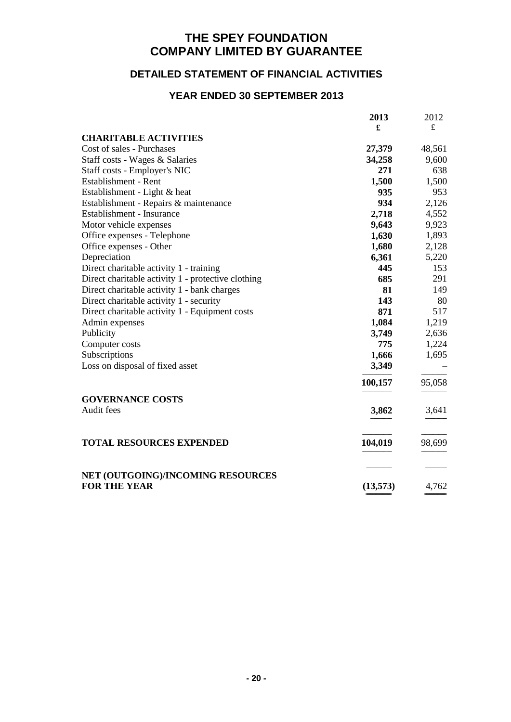# **DETAILED STATEMENT OF FINANCIAL ACTIVITIES**

|                                                    | 2013     | 2012   |
|----------------------------------------------------|----------|--------|
|                                                    | £        | £      |
| <b>CHARITABLE ACTIVITIES</b>                       |          |        |
| Cost of sales - Purchases                          | 27,379   | 48,561 |
| Staff costs - Wages & Salaries                     | 34,258   | 9,600  |
| Staff costs - Employer's NIC                       | 271      | 638    |
| Establishment - Rent                               | 1,500    | 1,500  |
| Establishment - Light & heat                       | 935      | 953    |
| Establishment - Repairs & maintenance              | 934      | 2,126  |
| Establishment - Insurance                          | 2,718    | 4,552  |
| Motor vehicle expenses                             | 9,643    | 9,923  |
| Office expenses - Telephone                        | 1,630    | 1,893  |
| Office expenses - Other                            | 1,680    | 2,128  |
| Depreciation                                       | 6,361    | 5,220  |
| Direct charitable activity 1 - training            | 445      | 153    |
| Direct charitable activity 1 - protective clothing | 685      | 291    |
| Direct charitable activity 1 - bank charges        | 81       | 149    |
| Direct charitable activity 1 - security            | 143      | 80     |
| Direct charitable activity 1 - Equipment costs     | 871      | 517    |
| Admin expenses                                     | 1,084    | 1,219  |
| Publicity                                          | 3,749    | 2,636  |
| Computer costs                                     | 775      | 1,224  |
| Subscriptions                                      | 1,666    | 1,695  |
| Loss on disposal of fixed asset                    | 3,349    |        |
|                                                    | 100,157  | 95,058 |
| <b>GOVERNANCE COSTS</b>                            |          |        |
| Audit fees                                         | 3,862    | 3,641  |
| <b>TOTAL RESOURCES EXPENDED</b>                    | 104,019  | 98,699 |
| NET (OUTGOING)/INCOMING RESOURCES                  |          |        |
| <b>FOR THE YEAR</b>                                | (13,573) | 4,762  |
|                                                    |          |        |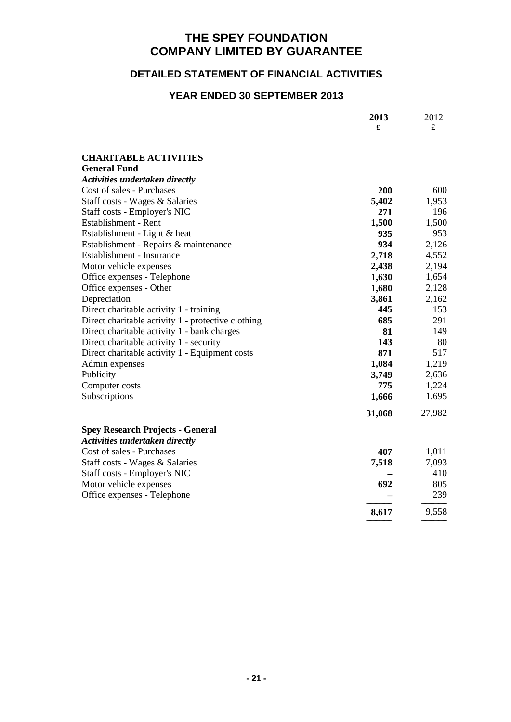# **DETAILED STATEMENT OF FINANCIAL ACTIVITIES**

|                                                    | 2013<br>£ | 2012<br>£ |
|----------------------------------------------------|-----------|-----------|
|                                                    |           |           |
| <b>CHARITABLE ACTIVITIES</b>                       |           |           |
| <b>General Fund</b>                                |           |           |
| <b>Activities undertaken directly</b>              |           |           |
| Cost of sales - Purchases                          | 200       | 600       |
| Staff costs - Wages & Salaries                     | 5,402     | 1,953     |
| Staff costs - Employer's NIC                       | 271       | 196       |
| Establishment - Rent                               | 1,500     | 1,500     |
| Establishment - Light & heat                       | 935       | 953       |
| Establishment - Repairs & maintenance              | 934       | 2,126     |
| Establishment - Insurance                          | 2,718     | 4,552     |
| Motor vehicle expenses                             | 2,438     | 2,194     |
| Office expenses - Telephone                        | 1,630     | 1,654     |
| Office expenses - Other                            | 1,680     | 2,128     |
| Depreciation                                       | 3,861     | 2,162     |
| Direct charitable activity 1 - training            | 445       | 153       |
| Direct charitable activity 1 - protective clothing | 685       | 291       |
| Direct charitable activity 1 - bank charges        | 81        | 149       |
| Direct charitable activity 1 - security            | 143       | 80        |
| Direct charitable activity 1 - Equipment costs     | 871       | 517       |
| Admin expenses                                     | 1,084     | 1,219     |
| Publicity                                          | 3,749     | 2,636     |
| Computer costs                                     | 775       | 1,224     |
| Subscriptions                                      | 1,666     | 1,695     |
|                                                    | 31,068    | 27,982    |
| <b>Spey Research Projects - General</b>            |           |           |
| <b>Activities undertaken directly</b>              |           |           |
| Cost of sales - Purchases                          | 407       | 1,011     |
| Staff costs - Wages & Salaries                     | 7,518     | 7,093     |
| Staff costs - Employer's NIC                       |           | 410       |
| Motor vehicle expenses                             | 692       | 805       |
| Office expenses - Telephone                        |           | 239       |
|                                                    | 8,617     | 9,558     |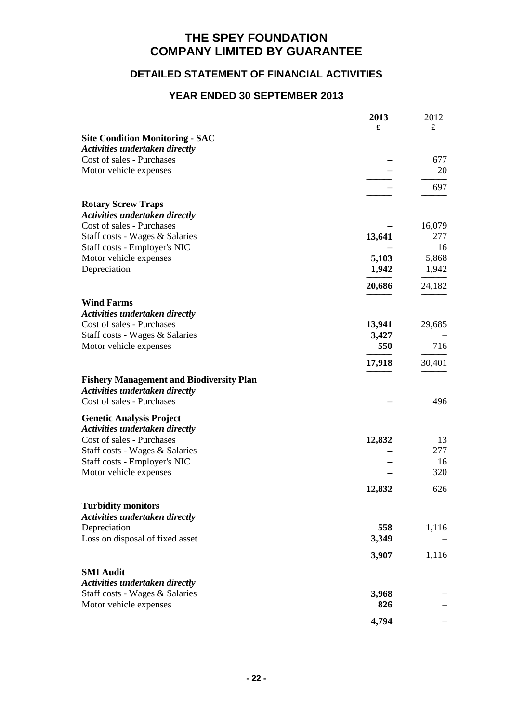# **DETAILED STATEMENT OF FINANCIAL ACTIVITIES**

|                                                 | 2013   | 2012        |
|-------------------------------------------------|--------|-------------|
|                                                 | £      | £           |
| <b>Site Condition Monitoring - SAC</b>          |        |             |
| <b>Activities undertaken directly</b>           |        |             |
| Cost of sales - Purchases                       |        | 677         |
| Motor vehicle expenses                          |        | 20          |
|                                                 |        | 697         |
|                                                 |        |             |
| <b>Rotary Screw Traps</b>                       |        |             |
| <b>Activities undertaken directly</b>           |        |             |
| Cost of sales - Purchases                       |        | 16,079      |
| Staff costs - Wages & Salaries                  | 13,641 | 277         |
| Staff costs - Employer's NIC                    | 5,103  | 16<br>5,868 |
| Motor vehicle expenses                          |        | 1,942       |
| Depreciation                                    | 1,942  |             |
|                                                 | 20,686 | 24,182      |
| <b>Wind Farms</b>                               |        |             |
| <b>Activities undertaken directly</b>           |        |             |
| Cost of sales - Purchases                       | 13,941 | 29,685      |
| Staff costs - Wages & Salaries                  | 3,427  |             |
| Motor vehicle expenses                          | 550    | 716         |
|                                                 |        |             |
|                                                 | 17,918 | 30,401      |
| <b>Fishery Management and Biodiversity Plan</b> |        |             |
| <b>Activities undertaken directly</b>           |        |             |
| Cost of sales - Purchases                       |        | 496         |
| <b>Genetic Analysis Project</b>                 |        |             |
| <b>Activities undertaken directly</b>           |        |             |
| Cost of sales - Purchases                       | 12,832 | 13          |
| Staff costs - Wages & Salaries                  |        | 277         |
| Staff costs - Employer's NIC                    |        | 16          |
| Motor vehicle expenses                          |        | 320         |
|                                                 |        |             |
|                                                 | 12,832 | 626         |
| <b>Turbidity monitors</b>                       |        |             |
| Activities undertaken directly                  |        |             |
| Depreciation                                    | 558    | 1,116       |
| Loss on disposal of fixed asset                 | 3,349  |             |
|                                                 | 3,907  | 1,116       |
|                                                 |        |             |
| <b>SMI Audit</b>                                |        |             |
| <b>Activities undertaken directly</b>           |        |             |
| Staff costs - Wages & Salaries                  | 3,968  |             |
| Motor vehicle expenses                          | 826    |             |
|                                                 | 4,794  |             |
|                                                 |        |             |